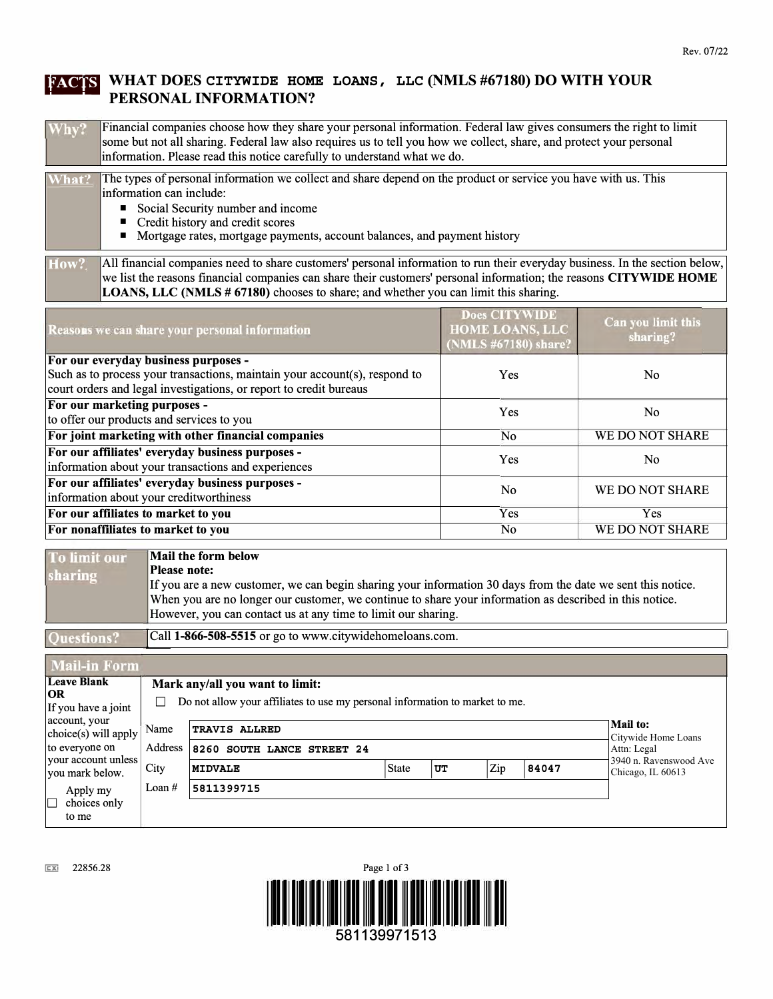## **!lfflf-1 WHAT DOES CITYWIDE HOME LOANS, LLC (NMLS #67180) DO WITH YOUR PERSONAL INFORMATION?**

| Why? | Financial companies choose how they share your personal information. Federal law gives consumers the right to limit |
|------|---------------------------------------------------------------------------------------------------------------------|
|      | some but not all sharing. Federal law also requires us to tell you how we collect, share, and protect your personal |
|      | information. Please read this notice carefully to understand what we do.                                            |

| What? | The types of personal information we collect and share depend on the product or service you have with us. This       |  |  |  |  |
|-------|----------------------------------------------------------------------------------------------------------------------|--|--|--|--|
|       | information can include:                                                                                             |  |  |  |  |
|       | Social Security number and income                                                                                    |  |  |  |  |
|       | $\blacksquare$ Credit history and credit scores                                                                      |  |  |  |  |
|       | • Mortgage rates, mortgage payments, account balances, and payment history                                           |  |  |  |  |
|       |                                                                                                                      |  |  |  |  |
| How?  | All financial companies need to share customers' personal information to run their everyday business. In the section |  |  |  |  |

How? All financial companies need to share customers' personal information to run their everyday business. In the section below, we list the reasons financial companies can share their customers' personal information; the **LOANS, LLC (NMLS** # **67180)** chooses to share; and whether you can limit this sharing.

| Reasons we can share your personal information                                                          | <b>Does CITYWIDE</b><br><b>HOME LOANS, LLC</b><br>(NMLS #67180) share? | Can you limit this<br>sharing? |  |
|---------------------------------------------------------------------------------------------------------|------------------------------------------------------------------------|--------------------------------|--|
| For our everyday business purposes -                                                                    |                                                                        |                                |  |
| Such as to process your transactions, maintain your account(s), respond to                              | Yes                                                                    | N <sub>0</sub>                 |  |
| court orders and legal investigations, or report to credit bureaus                                      |                                                                        |                                |  |
| For our marketing purposes -                                                                            | Yes                                                                    | N <sub>0</sub>                 |  |
| to offer our products and services to you                                                               |                                                                        |                                |  |
| For joint marketing with other financial companies                                                      | N <sub>0</sub>                                                         | WE DO NOT SHARE                |  |
| For our affiliates' everyday business purposes -<br>information about your transactions and experiences | Yes                                                                    | N <sub>0</sub>                 |  |
| For our affiliates' everyday business purposes -<br>information about your creditworthiness             | N <sub>0</sub>                                                         | WE DO NOT SHARE                |  |
| For our affiliates to market to you                                                                     | Yes                                                                    | Yes                            |  |
| For nonaffiliates to market to you                                                                      | No                                                                     | WE DO NOT SHARE                |  |

| To limit our      | Mail the form below                                                                                         |
|-------------------|-------------------------------------------------------------------------------------------------------------|
| sharing           | Please note:                                                                                                |
|                   | If you are a new customer, we can begin sharing your information 30 days from the date we sent this notice. |
|                   | When you are no longer our customer, we continue to share your information as described in this notice.     |
|                   | However, you can contact us at any time to limit our sharing.                                               |
|                   |                                                                                                             |
| <b>Ouestions?</b> | Call 1-866-508-5515 or go to www.citywidehomeloans.com.                                                     |

**Mail-in Form Leave Blank Mark any/all you want to limit: OR**   $\Box$  Do not allow your affiliates to use my personal information to market to me. account, your **Mail to:**  Name **TRAVIS ALLRED**  choice(s) will apply Citywide Home Loans to everyone on Address **8260 SOUTH LANCE STREET 24**  Attn: Legal your account unless 3940 n. Ravenswood Ave you nark below. City **MIDVALE I** State IUT 2ip 184047 Chicago, IL 60613Apply my  $\vert$  Loan # **5811399715**  D choices only to me

 $Ex$  22856.28

Questions?

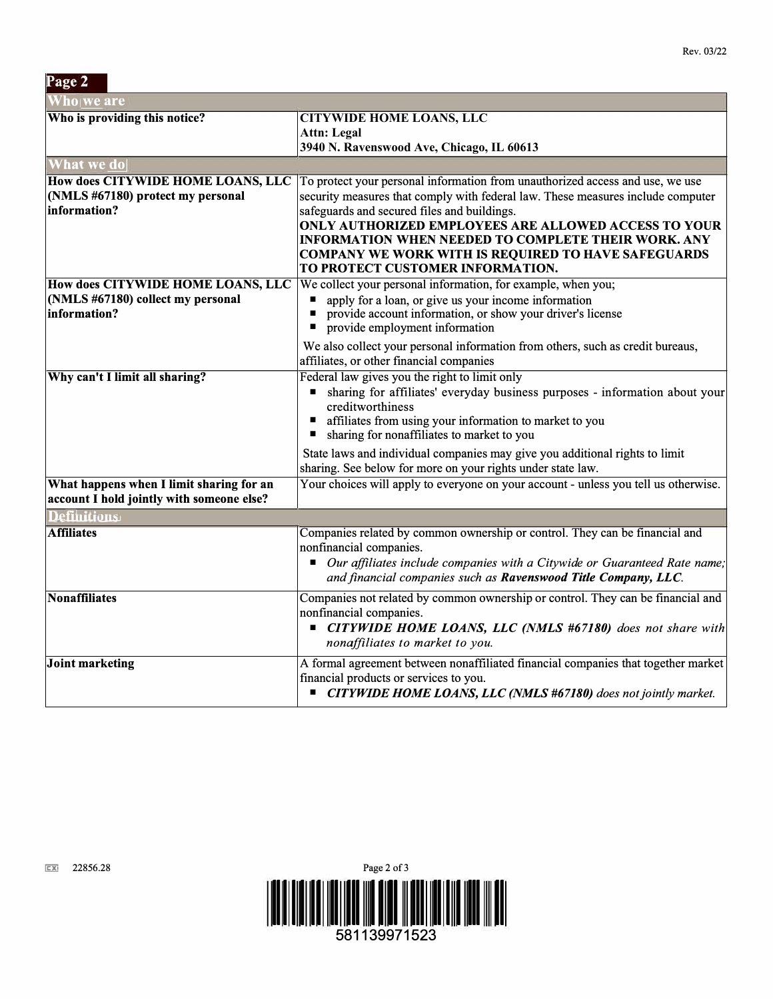| Page 2                                                                                 |                                                                                                                                                                                                                                                                                                                                                                                                                                                |  |  |  |
|----------------------------------------------------------------------------------------|------------------------------------------------------------------------------------------------------------------------------------------------------------------------------------------------------------------------------------------------------------------------------------------------------------------------------------------------------------------------------------------------------------------------------------------------|--|--|--|
| <b>Vho</b> we are                                                                      |                                                                                                                                                                                                                                                                                                                                                                                                                                                |  |  |  |
| Who is providing this notice?                                                          | <b>CITYWIDE HOME LOANS, LLC</b><br>Attn: Legal<br>3940 N. Ravenswood Ave, Chicago, IL 60613                                                                                                                                                                                                                                                                                                                                                    |  |  |  |
| What we do                                                                             |                                                                                                                                                                                                                                                                                                                                                                                                                                                |  |  |  |
| How does CITYWIDE HOME LOANS, LLC<br>(NMLS #67180) protect my personal<br>information? | To protect your personal information from unauthorized access and use, we use<br>security measures that comply with federal law. These measures include computer<br>safeguards and secured files and buildings.<br><b>ONLY AUTHORIZED EMPLOYEES ARE ALLOWED ACCESS TO YOUR</b><br><b>INFORMATION WHEN NEEDED TO COMPLETE THEIR WORK. ANY</b><br><b>COMPANY WE WORK WITH IS REQUIRED TO HAVE SAFEGUARDS</b><br>TO PROTECT CUSTOMER INFORMATION. |  |  |  |
| How does CITYWIDE HOME LOANS, LLC<br>(NMLS #67180) collect my personal<br>information? | We collect your personal information, for example, when you;<br>apply for a loan, or give us your income information<br>provide account information, or show your driver's license<br>П<br>provide employment information                                                                                                                                                                                                                      |  |  |  |
|                                                                                        | We also collect your personal information from others, such as credit bureaus,<br>affiliates, or other financial companies                                                                                                                                                                                                                                                                                                                     |  |  |  |
| Why can't I limit all sharing?                                                         | Federal law gives you the right to limit only<br>sharing for affiliates' everyday business purposes - information about your<br>п<br>creditworthiness<br>affiliates from using your information to market to you<br>sharing for nonaffiliates to market to you<br>п                                                                                                                                                                            |  |  |  |
|                                                                                        | State laws and individual companies may give you additional rights to limit<br>sharing. See below for more on your rights under state law.                                                                                                                                                                                                                                                                                                     |  |  |  |
| What happens when I limit sharing for an<br>account I hold jointly with someone else?  | Your choices will apply to everyone on your account - unless you tell us otherwise.                                                                                                                                                                                                                                                                                                                                                            |  |  |  |
| <b>Definitions</b>                                                                     |                                                                                                                                                                                                                                                                                                                                                                                                                                                |  |  |  |
| <b>Affiliates</b>                                                                      | Companies related by common ownership or control. They can be financial and<br>nonfinancial companies.<br>Our affiliates include companies with a Citywide or Guaranteed Rate name;<br>$\blacksquare$<br>and financial companies such as Ravenswood Title Company, LLC.                                                                                                                                                                        |  |  |  |
| <b>Nonaffiliates</b>                                                                   | Companies not related by common ownership or control. They can be financial and<br>nonfinancial companies.<br>■ CITYWIDE HOME LOANS, LLC (NMLS #67180) does not share with<br>nonaffiliates to market to you.                                                                                                                                                                                                                                  |  |  |  |
| Joint marketing                                                                        | A formal agreement between nonaffiliated financial companies that together market<br>financial products or services to you.<br>■ CITYWIDE HOME LOANS, LLC (NMLS #67180) does not jointly market.                                                                                                                                                                                                                                               |  |  |  |